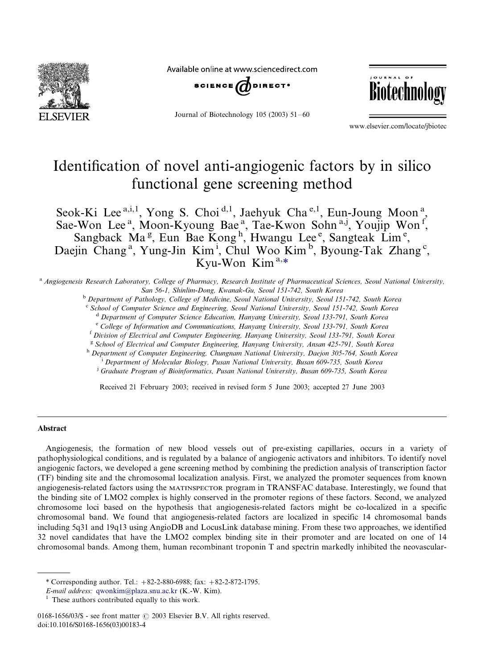

Available online at www.sciencedirect.com



Journal of Biotechnology 105 (2003) 51-/60



www.elsevier.com/locate/jbiotec

# Identification of novel anti-angiogenic factors by in silico functional gene screening method

Seok-Ki Lee<sup>a,i,1</sup>, Yong S. Choi<sup>d,1</sup>, Jaehyuk Cha<sup>e,1</sup>, Eun-Joung Moon<sup>a</sup>, Sae-Won Lee<sup>a</sup>, Moon-Kyoung Bae<sup>a</sup>, Tae-Kwon Sohn<sup>a,j</sup>, Youjip Won<sup>f</sup>, Sangback Ma<sup>g</sup>, Eun Bae Kong<sup>h</sup>, Hwangu Lee<sup>e</sup>, Sangteak Lim<sup>e</sup>, Daejin Chang<sup>a</sup>, Yung-Jin Kim<sup>i</sup>, Chul Woo Kim<sup>b</sup>, Byoung-Tak Zhang<sup>c</sup>, Kyu-Won Kim<sup>a,\*</sup>

<sup>a</sup> Angiogenesis Research Laboratory, College of Pharmacy, Research Institute of Pharmaceutical Sciences, Seoul National University, San 56-1, Shinlim-Dong, Kwanak-Gu, Seoul 151-742, South Korea

<sup>b</sup> Department of Pathology, College of Medicine, Seoul National University, Seoul 151-742, South Korea<br>
<sup>c</sup> School of Computer Science and Engineering, Seoul National University, Seoul 151-742, South Korea<br>
<sup>d</sup> Department

<sup>e</sup> College of Information and Communications, Hanyang University, Seoul 133-791, South Korea<br><sup>f</sup> Division of Electrical and Computer Engineering, Hanyang University, Seoul 133-791, South Korea

 $8$  School of Electrical and Computer Engineering, Hanyang University, Ansan 425-791, South Korea

h Department of Computer Engineering, Chungnam National University, Daejon 305-764, South Korea Department of Molecular Biology, Pusan National University, Busan 609-735, South Korea

<sup>j</sup> Graduate Program of Bioinformatics, Pusan National University, Busan 609-735, South Korea

Received 21 February 2003; received in revised form 5 June 2003; accepted 27 June 2003

#### Abstract

Angiogenesis, the formation of new blood vessels out of pre-existing capillaries, occurs in a variety of pathophysiological conditions, and is regulated by a balance of angiogenic activators and inhibitors. To identify novel angiogenic factors, we developed a gene screening method by combining the prediction analysis of transcription factor (TF) binding site and the chromosomal localization analysis. First, we analyzed the promoter sequences from known angiogenesis-related factors using the MATINSPECTOR program in TRANSFAC database. Interestingly, we found that the binding site of LMO2 complex is highly conserved in the promoter regions of these factors. Second, we analyzed chromosome loci based on the hypothesis that angiogenesis-related factors might be co-localized in a specific chromosomal band. We found that angiogenesis-related factors are localized in specific 14 chromosomal bands including 5q31 and 19q13 using AngioDB and LocusLink database mining. From these two approaches, we identified 32 novel candidates that have the LMO2 complex binding site in their promoter and are located on one of 14 chromosomal bands. Among them, human recombinant troponin T and spectrin markedly inhibited the neovascular-

\* Corresponding author. Tel.:  $+82-2-880-6988$ ; fax:  $+82-2-872-1795$ .

E-mail address: [qwonkim@plaza.snu.ac.kr](mailto:qwonkim@plaza.snu.ac.kr) (K.-W. Kim). <sup>1</sup> These authors contributed equally to this work.

<sup>0168-1656/03/\$ -</sup> see front matter  $\odot$  2003 Elsevier B.V. All rights reserved. doi:10.1016/S0168-1656(03)00183-4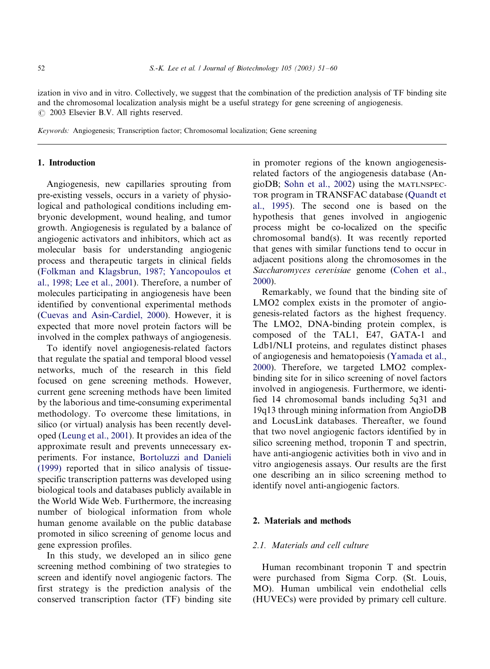<span id="page-1-0"></span>ization in vivo and in vitro. Collectively, we suggest that the combination of the prediction analysis of TF binding site and the chromosomal localization analysis might be a useful strategy for gene screening of angiogenesis.  $\odot$  2003 Elsevier B.V. All rights reserved.

Keywords: Angiogenesis; Transcription factor; Chromosomal localization; Gene screening

## 1. Introduction

Angiogenesis, new capillaries sprouting from pre-existing vessels, occurs in a variety of physiological and pathological conditions including embryonic development, wound healing, and tumor growth. Angiogenesis is regulated by a balance of angiogenic activators and inhibitors, which act as molecular basis for understanding angiogenic process and therapeutic targets in clinical fields [\(Folkman and Klagsbrun, 1987; Yancopoulos et](#page-9-0) [al., 1998; Lee et al., 2001](#page-9-0)). Therefore, a number of molecules participating in angiogenesis have been identified by conventional experimental methods (Cuev[as and Asin-Cardiel, 2000](#page-8-0)). However, it is expected that more novel protein factors will be involved in the complex pathways of angiogenesis.

To identify novel angiogenesis-related factors that regulate the spatial and temporal blood vessel networks, much of the research in this field focused on gene screening methods. However, current gene screening methods have been limited by the laborious and time-consuming experimental methodology. To overcome these limitations, in silico (or virtual) analysis has been recently developed [\(Leung et al., 2001](#page-9-0)). It provides an idea of the approximate result and prevents unnecessary experiments. For instance, [Bortoluzzi and Danieli](#page-8-0) [\(1999\)](#page-8-0) reported that in silico analysis of tissuespecific transcription patterns was developed using biological tools and databases publicly available in the World Wide Web. Furthermore, the increasing number of biological information from whole human genome available on the public database promoted in silico screening of genome locus and gene expression profiles.

In this study, we developed an in silico gene screening method combining of two strategies to screen and identify novel angiogenic factors. The first strategy is the prediction analysis of the conserved transcription factor (TF) binding site

in promoter regions of the known angiogenesisrelated factors of the angiogenesis database (AngioDB; [Sohn et al., 2002\)](#page-9-0) using the MATLNSPEC-TOR program in TRANSFAC database ([Quandt et](#page-9-0) [al., 1995\)](#page-9-0). The second one is based on the hypothesis that genes involved in angiogenic process might be co-localized on the specific chromosomal band(s). It was recently reported that genes with similar functions tend to occur in adjacent positions along the chromosomes in the Saccharomyces cerevisiae genome [\(Cohen et al.,](#page-8-0) [2000\)](#page-8-0).

Remarkably, we found that the binding site of LMO2 complex exists in the promoter of angiogenesis-related factors as the highest frequency. The LMO2, DNA-binding protein complex, is composed of the TAL1, E47, GATA-1 and Ldb1/NLI proteins, and regulates distinct phases of angiogenesis and hematopoiesis ([Yamada et al.,](#page-9-0) [2000\)](#page-9-0). Therefore, we targeted LMO2 complexbinding site for in silico screening of novel factors involved in angiogenesis. Furthermore, we identified 14 chromosomal bands including 5q31 and 19q13 through mining information from AngioDB and LocusLink databases. Thereafter, we found that two novel angiogenic factors identified by in silico screening method, troponin T and spectrin, have anti-angiogenic activities both in vivo and in vitro angiogenesis assays. Our results are the first one describing an in silico screening method to identify novel anti-angiogenic factors.

### 2. Materials and methods

## 2.1. Materials and cell culture

Human recombinant troponin T and spectrin were purchased from Sigma Corp. (St. Louis, MO). Human umbilical vein endothelial cells (HUVECs) were provided by primary cell culture.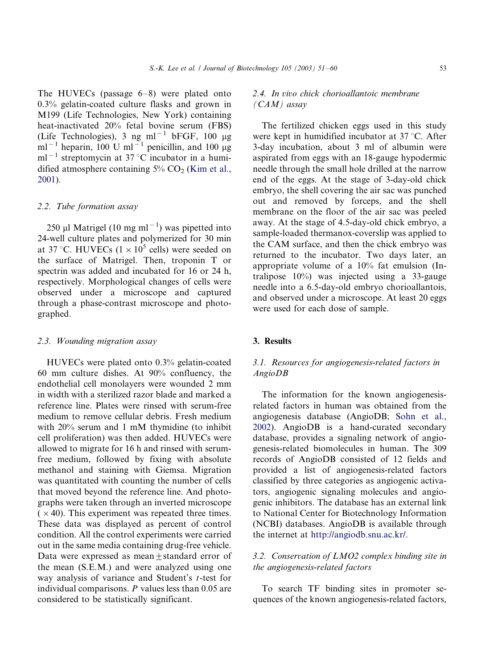The HUVECs (passage  $6-8$ ) were plated onto 0.3% gelatin-coated culture flasks and grown in M199 (Life Technologies, New York) containing heat-inactivated 20% fetal bovine serum (FBS) (Life Technologies), 3 ng ml<sup>-1</sup> bFGF, 100  $\mu$ g  $ml^{-1}$  heparin, 100 U ml<sup>-1</sup> penicillin, and 100 µg ml<sup>-1</sup> streptomycin at 37 °C incubator in a humidified atmosphere containing  $5\%$  CO<sub>2</sub> ([Kim et al.,](#page-9-0) [2001\)](#page-9-0).

## 2.2. Tube formation assay

250 µl Matrigel (10 mg ml<sup>-1</sup>) was pipetted into 24-well culture plates and polymerized for 30 min at 37 °C. HUVECs ( $1 \times 10^5$  cells) were seeded on the surface of Matrigel. Then, troponin T or spectrin was added and incubated for 16 or 24 h, respectively. Morphological changes of cells were observed under a microscope and captured through a phase-contrast microscope and photographed.

#### 2.3. Wounding migration assay

HUVECs were plated onto 0.3% gelatin-coated 60 mm culture dishes. At 90% confluency, the endothelial cell monolayers were wounded 2 mm in width with a sterilized razor blade and marked a reference line. Plates were rinsed with serum-free medium to remove cellular debris. Fresh medium with 20% serum and 1 mM thymidine (to inhibit cell proliferation) was then added. HUVECs were allowed to migrate for 16 h and rinsed with serumfree medium, followed by fixing with absolute methanol and staining with Giemsa. Migration was quantitated with counting the number of cells that moved beyond the reference line. And photographs were taken through an inverted microscope  $(x 40)$ . This experiment was repeated three times. These data was displayed as percent of control condition. All the control experiments were carried out in the same media containing drug-free vehicle. Data were expressed as mean+standard error of the mean (S.E.M.) and were analyzed using one way analysis of variance and Student's t-test for individual comparisons.  $P$  values less than 0.05 are considered to be statistically significant.

## 2.4. In vivo chick chorioallantoic membrane  $(CAM)$  assay

The fertilized chicken eggs used in this study were kept in humidified incubator at 37 °C. After 3-day incubation, about 3 ml of albumin were aspirated from eggs with an 18-gauge hypodermic needle through the small hole drilled at the narrow end of the eggs. At the stage of 3-day-old chick embryo, the shell covering the air sac was punched out and removed by forceps, and the shell membrane on the floor of the air sac was peeled away. At the stage of 4.5-day-old chick embryo, a sample-loaded thermanox-coverslip was applied to the CAM surface, and then the chick embryo was returned to the incubator. Two days later, an appropriate volume of a 10% fat emulsion (Intralipose  $10\%$ ) was injected using a 33-gauge needle into a 6.5-day-old embryo chorioallantois, and observed under a microscope. At least 20 eggs were used for each dose of sample.

#### 3. Results

## 3.1. Resources for angiogenesis-related factors in AngioDB

The information for the known angiogenesisrelated factors in human was obtained from the angiogenesis database (AngioDB; [Sohn et al.,](#page-9-0) [2002\)](#page-9-0). AngioDB is a hand-curated secondary database, provides a signaling network of angiogenesis-related biomolecules in human. The 309 records of AngioDB consisted of 12 fields and provided a list of angiogenesis-related factors classified by three categories as angiogenic activators, angiogenic signaling molecules and angiogenic inhibitors. The database has an external link to National Center for Biotechnology Information (NCBI) databases. AngioDB is available through the internet at [http://angiodb.snu.ac.kr/.](http://angiodb.snu.ac.kr/)

## 3.2. Conservation of LMO2 complex binding site in the angiogenesis-related factors

To search TF binding sites in promoter sequences of the known angiogenesis-related factors,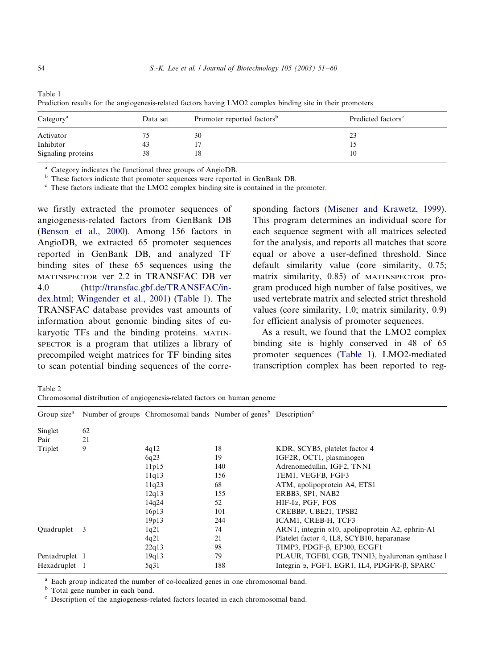| Category <sup>a</sup> | Data set | Promoter reported factors <sup>b</sup> | Predicted factors <sup>c</sup> |  |
|-----------------------|----------|----------------------------------------|--------------------------------|--|
| Activator             |          | 30                                     | 23                             |  |
| Inhibitor             | 43       |                                        |                                |  |
| Signaling proteins    | 38       | 18                                     | 10                             |  |

<span id="page-3-0"></span>Table 1 Prediction results for the angiogenesis-related factors having LMO2 complex binding site in their promoters

<sup>a</sup> Category indicates the functional three groups of AngioDB.<br><sup>b</sup> These factors indicate that promoter sequences were reported in GenBank DB.<br><sup>c</sup> These factors indicate that the LMO2 complex binding site is contained in t

we firstly extracted the promoter sequences of angiogenesis-related factors from GenBank DB [\(Benson et al., 2000\)](#page-8-0). Among 156 factors in AngioDB, we extracted 65 promoter sequences reported in GenBank DB, and analyzed TF binding sites of these 65 sequences using the MATINSPECTOR ver 2.2 in TRANSFAC DB ver 4.0 [\(http://transfac.gbf.de/TRANSFAC/in](http://transfac.gbf.de/TRANSFAC/index.html)[dex.html](http://transfac.gbf.de/TRANSFAC/index.html); [Wingender et al., 2001](#page-9-0)) (Table 1). The TRANSFAC database provides vast amounts of information about genomic binding sites of eukaryotic TFs and the binding proteins. MATIN-SPECTOR is a program that utilizes a library of precompiled weight matrices for TF binding sites to scan potential binding sequences of the corresponding factors ([Misener and Krawetz, 1999](#page-9-0)). This program determines an individual score for each sequence segment with all matrices selected for the analysis, and reports all matches that score equal or above a user-defined threshold. Since default similarity value (core similarity, 0.75; matrix similarity, 0.85) of MATINSPECTOR program produced high number of false positives, we used vertebrate matrix and selected strict threshold values (core similarity, 1.0; matrix similarity, 0.9) for efficient analysis of promoter sequences.

As a result, we found that the LMO2 complex binding site is highly conserved in 48 of 65 promoter sequences (Table 1). LMO2-mediated transcription complex has been reported to reg-

Table 2 Chromosomal distribution of angiogenesis-related factors on human genome

| Group size <sup>a</sup> |    | Number of groups Chromosomal bands Number of genes <sup>b</sup> Description <sup>c</sup> |     |                                                             |
|-------------------------|----|------------------------------------------------------------------------------------------|-----|-------------------------------------------------------------|
| Singlet                 | 62 |                                                                                          |     |                                                             |
| Pair                    | 21 |                                                                                          |     |                                                             |
| Triplet                 | 9  | 4q12                                                                                     | 18  | KDR, SCYB5, platelet factor 4                               |
|                         |    | 6q23                                                                                     | 19  | IGF2R, OCT1, plasminogen                                    |
|                         |    | 11p15                                                                                    | 140 | Adrenomedullin, IGF2, TNNI                                  |
|                         |    | 11q13                                                                                    | 156 | TEM1, VEGFB, FGF3                                           |
|                         |    | 11q23                                                                                    | 68  | ATM, apolipoprotein A4, ETS1                                |
|                         |    | 12q13                                                                                    | 155 | ERBB3, SP1, NAB2                                            |
|                         |    | 14q24                                                                                    | 52  | HIF-Iα, PGF, FOS                                            |
|                         |    | 16p13                                                                                    | 101 | CREBBP, UBE21, TPSB2                                        |
|                         |    | 19p13                                                                                    | 244 | ICAM1, CREB-H, TCF3                                         |
| Ouadruplet              | -3 | 1q21                                                                                     | 74  | ARNT, integrin $\alpha$ 10, apolipoprotein A2, ephrin-A1    |
|                         |    | 4q21                                                                                     | 21  | Platelet factor 4, IL8, SCYB10, heparanase                  |
|                         |    | 22q13                                                                                    | 98  | TIMP3, PDGF-β, EP300, ECGF1                                 |
| Pentadruplet 1          |    | 19q13                                                                                    | 79  | PLAUR, TGFBI, CGB, TNNI3, hyaluronan synthase l             |
| Hexadruplet 1           |    | 5q31                                                                                     | 188 | Integrin $\alpha$ , FGF1, EGR1, IL4, PDGFR- $\beta$ , SPARC |

<sup>a</sup> Each group indicated the number of co-localized genes in one chromosomal band. b Total gene number in each band. c Description of the angiogenesis-related factors located in each chromosomal band.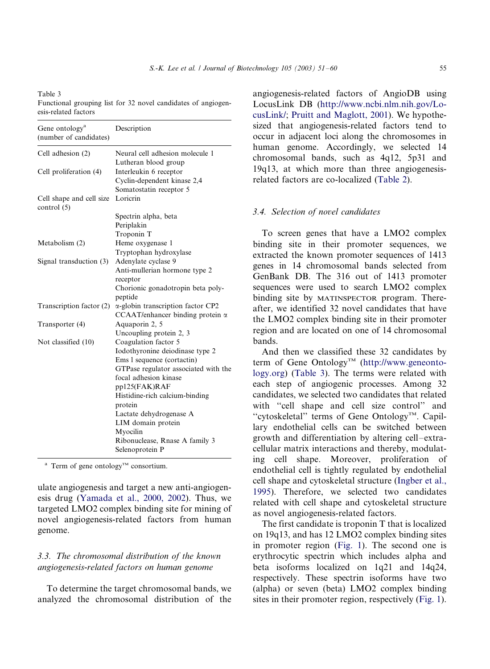<span id="page-4-0"></span>Table 3 Functional grouping list for 32 novel candidates of angiogenesis-related factors

| Gene ontology <sup>a</sup><br>(number of candidates) | Description                               |
|------------------------------------------------------|-------------------------------------------|
| Cell adhesion (2)                                    | Neural cell adhesion molecule 1           |
|                                                      | Lutheran blood group                      |
| Cell proliferation (4)                               | Interleukin 6 receptor                    |
|                                                      | Cyclin-dependent kinase 2,4               |
|                                                      | Somatostatin receptor 5                   |
| Cell shape and cell size                             | Lorierin                                  |
| control $(5)$                                        |                                           |
|                                                      | Spectrin alpha, beta                      |
|                                                      | Periplakin                                |
|                                                      | Troponin T                                |
| Metabolism (2)                                       | Heme oxygenase 1                          |
|                                                      | Tryptophan hydroxylase                    |
| Signal transduction (3)                              | Adenylate cyclase 9                       |
|                                                      | Anti-mullerian hormone type 2             |
|                                                      | receptor                                  |
|                                                      | Chorionic gonadotropin beta poly-         |
|                                                      | peptide                                   |
| Transcription factor (2)                             | $\alpha$ -globin transcription factor CP2 |
|                                                      | CCAAT/enhancer binding protein $\alpha$   |
| Transporter (4)                                      | Aquaporin 2, 5                            |
|                                                      | Uncoupling protein 2, 3                   |
| Not classified (10)                                  | Coagulation factor 5                      |
|                                                      | Iodothyronine deiodinase type 2           |
|                                                      | Ems 1 sequence (cortactin)                |
|                                                      | GTPase regulator associated with the      |
|                                                      | focal adhesion kinase                     |
|                                                      | pp125(FAK)RAF                             |
|                                                      | Histidine-rich calcium-binding            |
|                                                      | protein                                   |
|                                                      | Lactate dehydrogenase A                   |
|                                                      | LIM domain protein                        |
|                                                      | Myocilin                                  |
|                                                      | Ribonuclease, Rnase A family 3            |
|                                                      | Selenoprotein P                           |

<sup>a</sup> Term of gene ontology<sup>TM</sup> consortium.

ulate angiogenesis and target a new anti-angiogenesis drug ([Yamada et al., 2000, 2002](#page-9-0)). Thus, we targeted LMO2 complex binding site for mining of novel angiogenesis-related factors from human genome.

## 3.3. The chromosomal distribution of the known angiogenesis-related factors on human genome

To determine the target chromosomal bands, we analyzed the chromosomal distribution of the angiogenesis-related factors of AngioDB using LocusLink DB ([http://www.ncbi.nlm.nih.go](http://www.ncbi.nlm.nih.gov/LocusLink/)v/Lo[cusLink/;](http://www.ncbi.nlm.nih.gov/LocusLink/) [Pruitt and Maglott, 2001](#page-9-0)). We hypothesized that angiogenesis-related factors tend to

occur in adjacent loci along the chromosomes in human genome. Accordingly, we selected 14 chromosomal bands, such as 4q12, 5p31 and 19q13, at which more than three angiogenesisrelated factors are co-localized ([Table 2](#page-3-0)).

### 3.4. Selection of novel candidates

To screen genes that have a LMO2 complex binding site in their promoter sequences, we extracted the known promoter sequences of 1413 genes in 14 chromosomal bands selected from GenBank DB. The 316 out of 1413 promoter sequences were used to search LMO2 complex binding site by MATINSPECTOR program. Thereafter, we identified 32 novel candidates that have the LMO2 complex binding site in their promoter region and are located on one of 14 chromosomal bands.

And then we classified these 32 candidates by term of Gene Ontology<sup>TM</sup> [\(http://www.geneonto](http://www.geneontology.org)[logy.org](http://www.geneontology.org)) (Table 3). The terms were related with each step of angiogenic processes. Among 32 candidates, we selected two candidates that related with "cell shape and cell size control" and "cytoskeletal" terms of Gene Ontology<sup>TM</sup>. Capillary endothelial cells can be switched between growth and differentiation by altering cell-extracellular matrix interactions and thereby, modulating cell shape. Moreover, proliferation of endothelial cell is tightly regulated by endothelial cell shape and cytoskeletal structure [\(Ingber et al.,](#page-9-0) [1995\)](#page-9-0). Therefore, we selected two candidates related with cell shape and cytoskeletal structure as novel angiogenesis-related factors.

The first candidate is troponin T that is localized on 19q13, and has 12 LMO2 complex binding sites in promoter region ([Fig. 1](#page-5-0)). The second one is erythrocytic spectrin which includes alpha and beta isoforms localized on 1q21 and 14q24, respectively. These spectrin isoforms have two (alpha) or seven (beta) LMO2 complex binding sites in their promoter region, respectively [\(Fig. 1](#page-5-0)).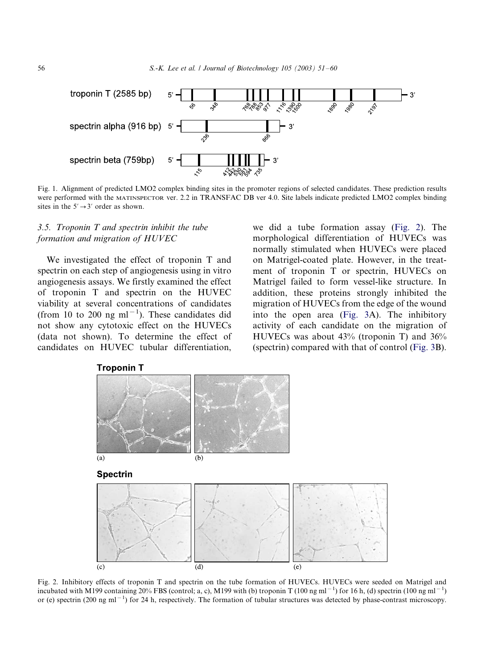<span id="page-5-0"></span>

Fig. 1. Alignment of predicted LMO2 complex binding sites in the promoter regions of selected candidates. These prediction results were performed with the MATINSPECTOR ver. 2.2 in TRANSFAC DB ver 4.0. Site labels indicate predicted LMO2 complex binding sites in the  $5' \rightarrow 3'$  order as shown.

## 3.5. Troponin T and spectrin inhibit the tube formation and migration of HUVEC

We investigated the effect of troponin T and spectrin on each step of angiogenesis using in vitro angiogenesis assays. We firstly examined the effect of troponin T and spectrin on the HUVEC viability at several concentrations of candidates (from 10 to 200 ng ml<sup> $-1$ </sup>). These candidates did not show any cytotoxic effect on the HUVECs (data not shown). To determine the effect of candidates on HUVEC tubular differentiation,

we did a tube formation assay (Fig. 2). The morphological differentiation of HUVECs was normally stimulated when HUVECs were placed on Matrigel-coated plate. However, in the treatment of troponin T or spectrin, HUVECs on Matrigel failed to form vessel-like structure. In addition, these proteins strongly inhibited the migration of HUVECs from the edge of the wound into the open area [\(Fig. 3A](#page-6-0)). The inhibitory activity of each candidate on the migration of HUVECs was about 43% (troponin T) and 36% (spectrin) compared with that of control ([Fig. 3](#page-6-0)B).



Fig. 2. Inhibitory effects of troponin T and spectrin on the tube formation of HUVECs. HUVECs were seeded on Matrigel and incubated with M199 containing 20% FBS (control; a, c), M199 with (b) troponin T (100 ng ml<sup>-1</sup>) for 16 h, (d) spectrin (100 ng ml<sup>-1</sup>) or (e) spectrin (200 ng ml<sup>-1</sup>) for 24 h, respectively. The formation of tubular structures was detected by phase-contrast microscopy.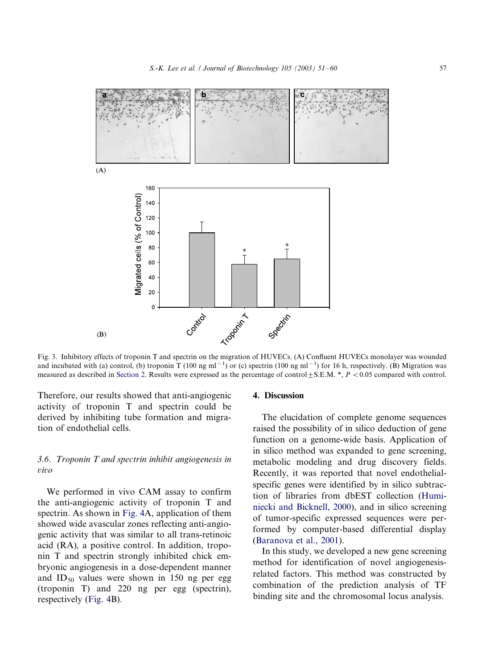<span id="page-6-0"></span>

Fig. 3. Inhibitory effects of troponin T and spectrin on the migration of HUVECs. (A) Confluent HUVECs monolayer was wounded and incubated with (a) control, (b) troponin T (100 ng ml<sup>-1</sup>) or (c) spectrin (100 ng ml<sup>-1</sup>) for 16 h, respectively. (B) Migration was measured as described in [Section 2.](#page-1-0) Results were expressed as the percentage of control  $\pm$  S.E.M. \*,  $P < 0.05$  compared with control.

Therefore, our results showed that anti-angiogenic activity of troponin T and spectrin could be derived by inhibiting tube formation and migration of endothelial cells.

# 3.6. Troponin T and spectrin inhibit angiogenesis in vivo

We performed in vivo CAM assay to confirm the anti-angiogenic activity of troponin T and spectrin. As shown in [Fig. 4A](#page-7-0), application of them showed wide avascular zones reflecting anti-angiogenic activity that was similar to all trans-retinoic acid (RA), a positive control. In addition, troponin T and spectrin strongly inhibited chick embryonic angiogenesis in a dose-dependent manner and  $ID_{50}$  values were shown in 150 ng per egg (troponin T) and 220 ng per egg (spectrin), respectively ([Fig. 4](#page-7-0)B).

#### 4. Discussion

The elucidation of complete genome sequences raised the possibility of in silico deduction of gene function on a genome-wide basis. Application of in silico method was expanded to gene screening, metabolic modeling and drug discovery fields. Recently, it was reported that novel endothelialspecific genes were identified by in silico subtraction of libraries from dbEST collection [\(Humi](#page-9-0)[niecki and Bicknell, 2000](#page-9-0)), and in silico screening of tumor-specific expressed sequences were performed by computer-based differential display (Baranov[a et al., 2001](#page-8-0)).

In this study, we developed a new gene screening method for identification of novel angiogenesisrelated factors. This method was constructed by combination of the prediction analysis of TF binding site and the chromosomal locus analysis.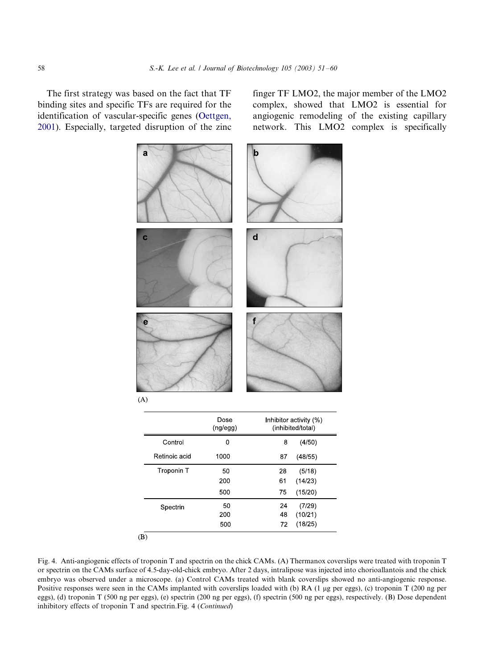<span id="page-7-0"></span>The first strategy was based on the fact that TF binding sites and specific TFs are required for the identification of vascular-specific genes ([Oettgen,](#page-9-0) [2001\)](#page-9-0). Especially, targeted disruption of the zinc finger TF LMO2, the major member of the LMO2 complex, showed that LMO2 is essential for angiogenic remodeling of the existing capillary network. This LMO2 complex is specifically



 $(A)$ 

|               | Dose<br>(ng/egg) | Inhibitor activity (%)<br>(inhibited/total) |
|---------------|------------------|---------------------------------------------|
| Control       | 0                | 8<br>(4/50)                                 |
| Retinoic acid | 1000             | (48/55)<br>87                               |
| Troponin T    | 50               | 28<br>(5/18)                                |
|               | 200              | (14/23)<br>61                               |
|               | 500              | (15/20)<br>75                               |
| Spectrin      | 50               | 24<br>(7/29)                                |
|               | 200              | 48<br>(10/21)                               |
|               | 500              | (18/25)<br>72                               |

 $(B)$ 

Fig. 4. Anti-angiogenic effects of troponin T and spectrin on the chick CAMs. (A) Thermanox coverslips were treated with troponin T or spectrin on the CAMs surface of 4.5-day-old-chick embryo. After 2 days, intralipose was injected into chorioallantois and the chick embryo was observed under a microscope. (a) Control CAMs treated with blank coverslips showed no anti-angiogenic response. Positive responses were seen in the CAMs implanted with coverslips loaded with (b) RA (1 µg per eggs), (c) troponin T (200 ng per eggs), (d) troponin T (500 ng per eggs), (e) spectrin (200 ng per eggs), (f) spectrin (500 ng per eggs), respectively. (B) Dose dependent inhibitory effects of troponin T and spectrin.Fig. 4 (Continued)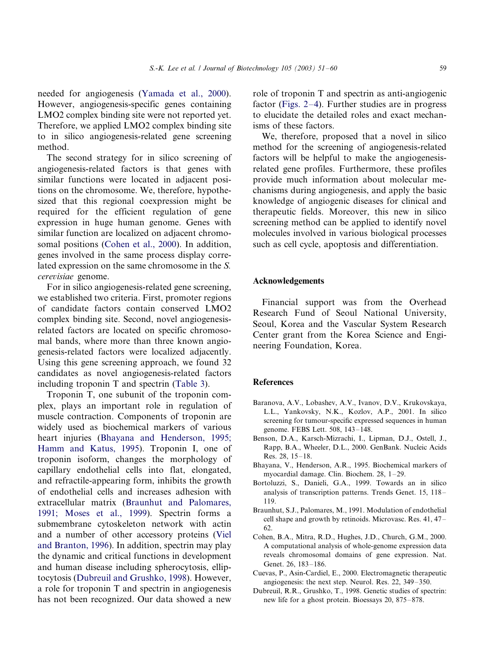<span id="page-8-0"></span>needed for angiogenesis [\(Yamada et al., 2000\)](#page-9-0). However, angiogenesis-specific genes containing LMO2 complex binding site were not reported yet. Therefore, we applied LMO2 complex binding site to in silico angiogenesis-related gene screening method.

The second strategy for in silico screening of angiogenesis-related factors is that genes with similar functions were located in adjacent positions on the chromosome. We, therefore, hypothesized that this regional coexpression might be required for the efficient regulation of gene expression in huge human genome. Genes with similar function are localized on adjacent chromosomal positions (Cohen et al., 2000). In addition, genes involved in the same process display correlated expression on the same chromosome in the S. cerevisiae genome.

For in silico angiogenesis-related gene screening, we established two criteria. First, promoter regions of candidate factors contain conserved LMO2 complex binding site. Second, novel angiogenesisrelated factors are located on specific chromosomal bands, where more than three known angiogenesis-related factors were localized adjacently. Using this gene screening approach, we found 32 candidates as novel angiogenesis-related factors including troponin T and spectrin ([Table 3](#page-4-0)).

Troponin T, one subunit of the troponin complex, plays an important role in regulation of muscle contraction. Components of troponin are widely used as biochemical markers of various heart injuries (Bhayana and Henderson, 1995; Hamm and Katus, 1995). Troponin I, one of troponin isoform, changes the morphology of capillary endothelial cells into flat, elongated, and refractile-appearing form, inhibits the growth of endothelial cells and increases adhesion with extracellular matrix (Braunhut and Palomares, 1991; Moses et al., 1999). Spectrin forms a submembrane cytoskeleton network with actin and a number of other accessory proteins [\(Viel](#page-9-0) [and Branton, 1996\)](#page-9-0). In addition, spectrin may play the dynamic and critical functions in development and human disease including spherocytosis, elliptocytosis (Dubreuil and Grushko, 1998). However, a role for troponin T and spectrin in angiogenesis has not been recognized. Our data showed a new

role of troponin T and spectrin as anti-angiogenic factor [\(Figs. 2](#page-5-0)–4). Further studies are in progress to elucidate the detailed roles and exact mechanisms of these factors.

We, therefore, proposed that a novel in silico method for the screening of angiogenesis-related factors will be helpful to make the angiogenesisrelated gene profiles. Furthermore, these profiles provide much information about molecular mechanisms during angiogenesis, and apply the basic knowledge of angiogenic diseases for clinical and therapeutic fields. Moreover, this new in silico screening method can be applied to identify novel molecules involved in various biological processes such as cell cycle, apoptosis and differentiation.

#### Acknowledgements

Financial support was from the Overhead Research Fund of Seoul National University, Seoul, Korea and the Vascular System Research Center grant from the Korea Science and Engineering Foundation, Korea.

#### References

- Baranova, A.V., Lobashev, A.V., Ivanov, D.V., Krukovskaya, L.L., Yankovsky, N.K., Kozlov, A.P., 2001. In silico screening for tumour-specific expressed sequences in human genome. FEBS Lett. 508, 143-148.
- Benson, D.A., Karsch-Mizrachi, I., Lipman, D.J., Ostell, J., Rapp, B.A., Wheeler, D.L., 2000. GenBank. Nucleic Acids Res. 28, 15–18.
- Bhayana, V., Henderson, A.R., 1995. Biochemical markers of myocardial damage. Clin. Biochem. 28, 1 -/29.
- Bortoluzzi, S., Danieli, G.A., 1999. Towards an in silico analysis of transcription patterns. Trends Genet. 15, 118-/ 119.
- Braunhut, S.J., Palomares, M., 1991. Modulation of endothelial cell shape and growth by retinoids. Microvasc. Res. 41, 47-/ 62.
- Cohen, B.A., Mitra, R.D., Hughes, J.D., Church, G.M., 2000. A computational analysis of whole-genome expression data reveals chromosomal domains of gene expression. Nat. Genet. 26, 183-186.
- Cuevas, P., Asin-Cardiel, E., 2000. Electromagnetic therapeutic angiogenesis: the next step. Neurol. Res. 22, 349-350.
- Dubreuil, R.R., Grushko, T., 1998. Genetic studies of spectrin: new life for a ghost protein. Bioessays 20, 875–878.